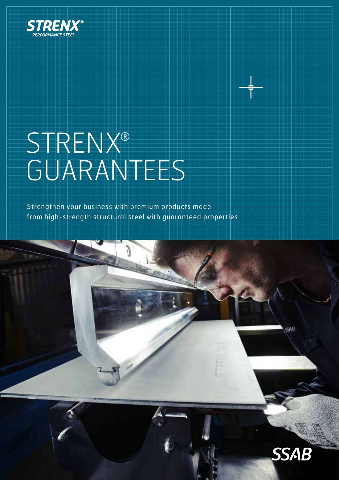

# STRENX® GUARANTEES

Strengthen your business with premium products made from high-strength structural steel with guaranteed properties



CCAP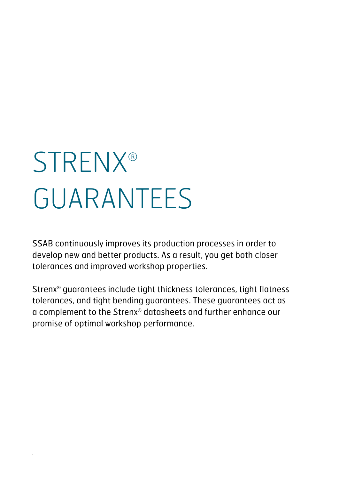# **STRENX®** GUARANTEES

SSAB continuously improves its production processes in order to develop new and better products. As a result, you get both closer tolerances and improved workshop properties.

Strenx® guarantees include tight thickness tolerances, tight flatness tolerances, and tight bending guarantees. These guarantees act as a complement to the Strenx® datasheets and further enhance our promise of optimal workshop performance.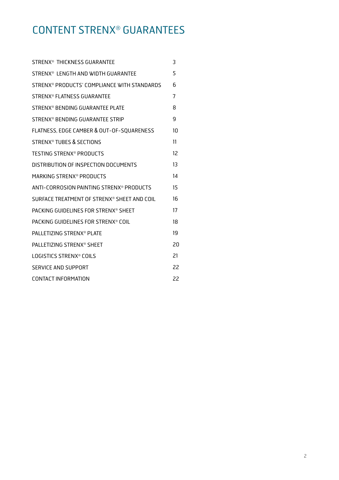### CONTENT STRENX® GUARANTEES

| STRENX <sup>®</sup> THICKNESS GUARANTEE     | 3  |
|---------------------------------------------|----|
| STRENX® LENGTH AND WIDTH GUARANTEE          | 5  |
| STRENX® PRODUCTS' COMPLIANCE WITH STANDARDS | 6  |
| STRENX <sup>®</sup> FLATNESS GUARANTEE      | 7  |
| STRENX® BENDING GUARANTEE PLATE             | 8  |
| STRENX® BENDING GUARANTEE STRIP             | 9  |
| FLATNESS, EDGE CAMBER & OUT-OF-SQUARENESS   | 10 |
| STRENX® TUBES & SECTIONS                    | 11 |
| <b>TESTING STRENX<sup>®</sup> PRODUCTS</b>  | 12 |
| DISTRIBUTION OF INSPECTION DOCUMENTS        | 13 |
| MARKING STRENX® PRODUCTS                    | 14 |
| ANTI-CORROSION PAINTING STRENX® PRODUCTS    | 15 |
| SURFACE TREATMENT OF STRENX® SHEET AND COIL | 16 |
| PACKING GUIDELINES FOR STRENX® SHEET        | 17 |
| PACKING GUIDELINES FOR STRENX® COIL         | 18 |
| <b>PALLETIZING STRENX® PLATE</b>            | 19 |
| <b>PALLETIZING STRENX<sup>®</sup> SHEFT</b> | 20 |
| LOGISTICS STRENX® COILS                     | 21 |
| SERVICE AND SUPPORT                         | 22 |
| CONTACT INFORMATION                         | 22 |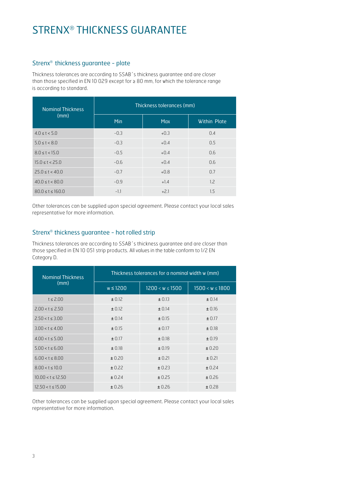### STRENX® THICKNESS GUARANTEE

#### Strenx® thickness guarantee - plate

Thickness tolerances are according to SSAB´s thickness guarantee and are closer than those specified in EN 10 029 except for ≥ 80 mm, for which the tolerance range is according to standard.

| <b>Nominal Thickness</b> | Thickness tolerances (mm) |            |                     |  |
|--------------------------|---------------------------|------------|---------------------|--|
| (mm)                     | <b>Min</b>                | <b>Max</b> | <b>Within Plate</b> |  |
| 4.0 < t < 5.0            | $-0.3$                    | $+0.3$     | 0.4                 |  |
| 5.0 < t < 8.0            | $-0.3$                    | $+0.4$     | 0.5                 |  |
| 8.0 < t < 15.0           | $-0.5$                    | $+0.4$     | 0.6                 |  |
| 15.0 < t < 25.0          | $-0.6$                    | $+0.4$     | 0.6                 |  |
| 25.0 < t < 40.0          | $-0.7$                    | $+0.8$     | 0.7                 |  |
| 40.0 < t < 80.0          | $-0.9$                    | $+1.4$     | 1.2                 |  |
| 80.0 < t < 160.0         | $-1.1$                    | $+2.1$     | 1.5                 |  |

Other tolerances can be supplied upon special agreement. Please contact your local sales representative for more information.

#### Strenx® thickness guarantee - hot rolled strip

Thickness tolerances are according to SSAB´s thickness guarantee and are closer than those specified in EN 10 051 strip products. All values in the table conform to 1/2 EN Category D.

| <b>Nominal Thickness</b> | Thickness tolerances for a nominal width w (mm) |                     |                     |  |
|--------------------------|-------------------------------------------------|---------------------|---------------------|--|
| (mm)                     | $w \le 1200$                                    | $1200 < w \le 1500$ | $1500 < w \le 1800$ |  |
| $t \leq 2.00$            | ± 0.12                                          | ± 0.13              | ± 0.14              |  |
| 2.00 < t < 2.50          | ± 0.12                                          | ± 0.14              | ± 0.16              |  |
| 2.50 < t < 3.00          | ± 0.14                                          | ± 0.15              | ± 0.17              |  |
| 3.00 < t < 4.00          | ± 0.15                                          | ± 0.17              | ± 0.18              |  |
| 4.00 < t < 5.00          | ± 0.17                                          | ± 0.18              | ± 0.19              |  |
| 5.00 < t < 6.00          | ± 0.18                                          | ± 0.19              | ± 0.20              |  |
| 6.00 < t < 8.00          | ± 0.20                                          | ± 0.21              | ± 0.21              |  |
| 8.00 < t < 10.0          | $\pm$ 0.22                                      | ± 0.23              | ± 0.24              |  |
| 10.00 < t < 12.50        | ± 0.24                                          | ± 0.25              | ± 0.26              |  |
| 12.50 < t < 15.00        | ± 0.26                                          | ± 0.26              | ± 0.28              |  |

Other tolerances can be supplied upon special agreement. Please contact your local sales representative for more information.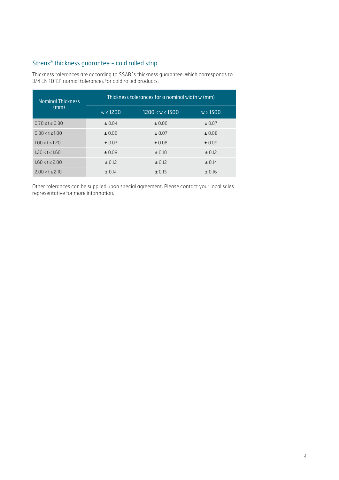#### Strenx® thickness guarantee - cold rolled strip

Thickness tolerances are according to SSAB´s thickness guarantee, which corresponds to 3/4 EN 10 131 normal tolerances for cold rolled products.

| <b>Nominal Thickness</b> | Thickness tolerances for a nominal width w (mm) |                 |          |  |
|--------------------------|-------------------------------------------------|-----------------|----------|--|
| (mm)                     | w < 1200                                        | 1200 < w < 1500 | w > 1500 |  |
| 0.70 < t < 0.80          | $\pm 0.04$                                      | ± 0.06          | ± 0.07   |  |
| $0.80 < t \leq 1.00$     | ±0.06                                           | ± 0.07          | ± 0.08   |  |
| 1.00 < t < 1.20          | $\pm 0.07$                                      | ± 0.08          | ± 0.09   |  |
| 1.20 < t < 1.60          | ±0.09                                           | $\pm 0.10$      | ± 0.12   |  |
| 1.60 < t < 2.00          | ± 0.12                                          | $\pm$ 0.12      | ± 0.14   |  |
| 2.00 < t < 2.10          | $+ 0.14$                                        | ± 0.15          | ± 0.16   |  |

Other tolerances can be supplied upon special agreement. Please contact your local sales representative for more information.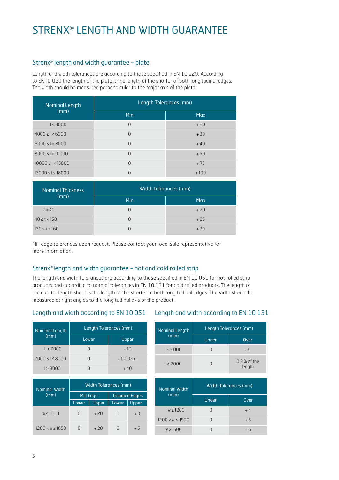### STRENX® LENGTH AND WIDTH GUARANTEE

#### Strenx® length and width guarantee - plate

Length and width tolerances are according to those specified in EN 10 029. According to EN 10 029 the length of the plate is the length of the shorter of both longitudinal edges. The width should be measured perpendicular to the major axis of the plate.

| Nominal Length            | Length Tolerances (mm) |            |  |
|---------------------------|------------------------|------------|--|
| (mm)                      | <b>Min</b>             | <b>Max</b> |  |
| 1 < 4000                  | $\Omega$               | $+20$      |  |
| $4000 \leq l < 6000$      | $\Omega$               | $+30$      |  |
| $6000 \leq l < 8000$      | $\Omega$               | $+40$      |  |
| $8000 \leq l < 10000$     | $\Omega$               | $+50$      |  |
| $10000 \leq l < 15000$    | $\Omega$               | $+75$      |  |
| $15000 \leq l \leq 18000$ | $\Omega$               | $+100$     |  |

| Nominal Thickness   | Width tolerances (mm) |            |  |
|---------------------|-----------------------|------------|--|
| (mm)                | Min                   | <b>Max</b> |  |
| t < 40              | $\cup$                | $+20$      |  |
| $40 \le t < 150$    | $\Box$                | $+25$      |  |
| $150 \le t \le 160$ |                       | $+30$      |  |

Mill edge tolerances upon request. Please contact your local sale representative for more information.

#### Strenx® length and width guarantee - hot and cold rolled strip

The length and width tolerances are according to those specified in EN 10 051 for hot rolled strip products and according to normal tolerances in EN 10 131 for cold rolled products. The length of the cut-to-length sheet is the length of the shorter of both longitudinal edges. The width should be measured at right angles to the longitudinal axis of the product.

#### Length and width according to EN 10 051

#### Length and width according to EN 10 131

| <b>Nominal Length</b> | Length Tolerances (mm) |                   |  |  |
|-----------------------|------------------------|-------------------|--|--|
| (mm)                  | Lower                  | Upper             |  |  |
| 1 < 2000              |                        | $+10$             |  |  |
| 2000 < I < 8000       |                        | $+0.005 \times 1$ |  |  |
| 1 > 8000              |                        | $+40$             |  |  |

| <b>Nominal Width</b> | Width Tolerances (mm) |       |                      |       |
|----------------------|-----------------------|-------|----------------------|-------|
| (mm)                 | Mill Edge             |       | <b>Trimmed Edges</b> |       |
|                      | <b>Lower</b>          | Upper | Lower                | Upper |
| $w \leq 1200$        | $\Box$                | $+20$ | 0                    | $+3$  |
| 1200 < w < 1850      |                       | $+20$ | Π                    | + 5   |

| <b>Nominal Length</b> | Length Tolerances (mm) |                         |
|-----------------------|------------------------|-------------------------|
| (mm)                  | Under                  | Over                    |
| 1 < 2000              | H                      | + 6                     |
| 1 > 2000              | Π                      | $0.3%$ of the<br>length |

| Nominal Width |                 | Width Tolerances (mm) |      |  |
|---------------|-----------------|-----------------------|------|--|
|               | (mm)            | Under                 | Over |  |
|               | w < 1200        |                       | $+4$ |  |
|               | 1200 < w < 1500 |                       | $+5$ |  |
|               | w > 1500        |                       | $+6$ |  |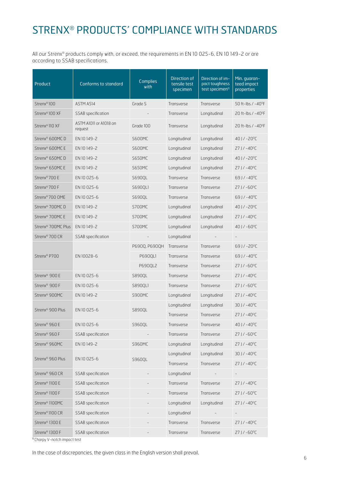### STRENX® PRODUCTS' COMPLIANCE WITH STANDARDS

All our Strenx® products comply with, or exceed, the requirements in EN 10 025-6, EN 10 149-2 or are according to SSAB specifications.

| Product                        | <b>Conforms to standard</b>       | <b>Complies</b><br>with | Direction of<br>tensile test<br>specimen | Direction of im-<br>pact toughness<br>test specimen <sup>1)</sup> | Min. guaran-<br>teed impact<br>properties |
|--------------------------------|-----------------------------------|-------------------------|------------------------------------------|-------------------------------------------------------------------|-------------------------------------------|
| Strenx <sup>®</sup> 100        | ASTM A514                         | Grade S                 | Transverse                               | Transverse                                                        | 50 ft-lbs / -40 <sup>o</sup> F            |
| Strenx®100 XF                  | SSAB specification                |                         | Transverse                               | Longitudinal                                                      | 20 ft-lbs / -40°F                         |
| Strenx®110 XF                  | ASTM A1011 or A1018 on<br>request | Grade 100               | Transverse                               | Longitudinal                                                      | 20 ft-lbs / -40 <sup>o</sup> F            |
| Strenx® 600MCD                 | EN 10149-2                        | <b>S600MC</b>           | Longitudinal                             | Longitudinal                                                      | $40$ J / $-20^{\circ}$ C                  |
| Strenx <sup>®</sup> 600MC E    | EN 10 149-2                       | <b>S600MC</b>           | Longitudinal                             | Longitudinal                                                      | $27$ J / $-40^{\circ}$ C                  |
| Strenx® 650MC D                | EN 10 149-2                       | <b>S650MC</b>           | Longitudinal                             | Longitudinal                                                      | 40 J / -20°C                              |
| Strenx® 650MC E                | EN 10149-2                        | <b>S650MC</b>           | Longitudinal                             | Longitudinal                                                      | $27$ J / $-40^{\circ}$ C                  |
| Strenx®700 E                   | EN 10025-6                        | S690QL                  | Transverse                               | Transverse                                                        | $69$ J / $-40^{\circ}$ C                  |
| Strenx®700 F                   | EN 10025-6                        | S6900L1                 | Transverse                               | Transverse                                                        | $27$ J / $-60^{\circ}$ C                  |
| Strenx®700 OME                 | EN 10025-6                        | S690QL                  | Transverse                               | Transverse                                                        | 69J/-40°C                                 |
| Strenx <sup>®</sup> 700MCD     | EN 10149-2                        | <b>S700MC</b>           | Longitudinal                             | Longitudinal                                                      | $40$ J / $-20^{\circ}$ C                  |
| Strenx <sup>®</sup> 700MC E    | EN 10 149-2                       | <b>S700MC</b>           | Longitudinal                             | Longitudinal                                                      | $27$ J / $-40^{\circ}$ C                  |
| Strenx <sup>®</sup> 700MC Plus | EN 10149-2                        | <b>S700MC</b>           | Longitudinal                             | Longitudinal                                                      | $40$ J / $-60$ <sup>o</sup> C             |
| Strenx <sup>®</sup> 700 CR     | SSAB specification                |                         | Longitudinal                             |                                                                   |                                           |
|                                |                                   | P690Q, P690QH           | Transverse                               | Transverse                                                        | $69$ J / $-20^{\circ}$ C                  |
| Strenx <sup>®</sup> P700       | EN 10028-6                        | P690QL1                 | Transverse                               | Transverse                                                        | $69$ J / $-40$ <sup>o</sup> C             |
|                                |                                   | P690QL2                 | Transverse                               | Transverse                                                        | $27$ J / $-60^{\circ}$ C                  |
| Strenx <sup>®</sup> 900 E      | EN 10025-6                        | S890QL                  | Transverse                               | Transverse                                                        | $27$ J / $-40^{\circ}$ C                  |
| Strenx <sup>®</sup> 900 F      | EN 10025-6                        | S890QL1                 | Transverse                               | Transverse                                                        | $27$ J / $-60^{\circ}$ C                  |
| Strenx® 900MC                  | EN 10149-2                        | <b>S900MC</b>           | Longitudinal                             | Longitudinal                                                      | $27$ J / $-40^{\circ}$ C                  |
| Strenx <sup>®</sup> 900 Plus   |                                   |                         | Longitudinal                             | Longitudinal                                                      | $30$ J / $-40^{\circ}$ C                  |
|                                | EN 10025-6                        | S890QL                  | Transverse                               | Transverse                                                        | $27$ J / $-40^{\circ}$ C                  |
| Strenx <sup>®</sup> 960 E      | EN 10025-6                        | S960QL                  | Transverse                               | Transverse                                                        | 40 J / -40 °C                             |
| Strenx <sup>®</sup> 960 F      | SSAB specification                |                         | Transverse                               | Transverse                                                        | $27$ J / $-60^{\circ}$ C                  |
| Strenx® 960MC                  | EN 10149-2                        | <b>S960MC</b>           | Longitudinal                             | Longitudinal                                                      | $27$ J / $-40^{\circ}$ C                  |
| Strenx <sup>®</sup> 960 Plus   | EN 10025-6                        |                         | Longitudinal                             | Longitudinal                                                      | $30$ J / $-40^{\circ}$ C                  |
|                                |                                   | S960QL                  | Transverse                               | Transverse                                                        | $27$ J / $-40^{\circ}$ C                  |
| Strenx® 960 CR                 | SSAB specification                |                         | Longitudinal                             |                                                                   |                                           |
| Strenx <sup>®</sup> 1100 E     | SSAB specification                |                         | Transverse                               | Transverse                                                        | $27$ J / $-40^{\circ}$ C                  |
| Strenx <sup>®</sup> 1100 F     | SSAB specification                |                         | Transverse                               | Transverse                                                        | $27$ J / $-60^{\circ}$ C                  |
| Strenx <sup>®</sup> 1100MC     | SSAB specification                |                         | Longitudinal                             | Longitudinal                                                      | $27$ J / $-40^{\circ}$ C                  |
| Strenx <sup>®</sup> 1100 CR    | SSAB specification                |                         | Longitudinal                             |                                                                   |                                           |
| Strenx <sup>®</sup> 1300 E     | SSAB specification                |                         | Transverse                               | Transverse                                                        | $27$ J / $-40^{\circ}$ C                  |
| Strenx <sup>®</sup> 1300 F     | SSAB specification                |                         | Transverse                               | Transverse                                                        | $27$ J / $-60^{\circ}$ C                  |

1) Charpy V-notch impact test

In the case of discrepancies, the given class in the English version shall prevail.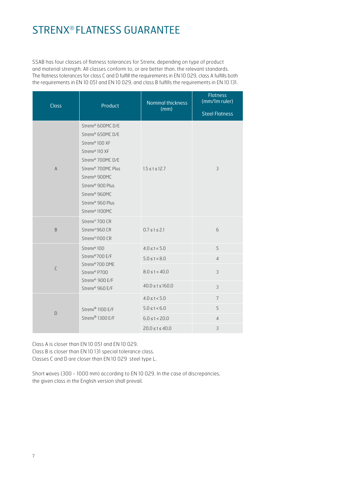### STRENX® FLATNESS GUARANTEE

SSAB has four classes of flatness tolerances for Strenx, depending on type of product and material strength. All classes conform to, or are better than, the relevant standards. The flatness tolerances for class C and D fulfill the requirements in EN 10 029, class A fulfills both the requirements in EN 10 051 and EN 10 029, and class B fulfills the requirements in EN 10 131.

| <b>Class</b>   | Product                                                                                                                                                                                                                                                                                               | Nominal thickness<br>(mm) | <b>Flatness</b><br>(mm/1m ruler) |
|----------------|-------------------------------------------------------------------------------------------------------------------------------------------------------------------------------------------------------------------------------------------------------------------------------------------------------|---------------------------|----------------------------------|
|                |                                                                                                                                                                                                                                                                                                       |                           | <b>Steel Flatness</b>            |
| $\overline{A}$ | Strenx® 600MC D/E<br>Strenx® 650MC D/E<br>Strenx <sup>®</sup> 100 XF<br>Strenx <sup>®</sup> 110 XF<br>Strenx <sup>®</sup> 700MC D/E<br>Strenx <sup>®</sup> 700MC Plus<br>Strenx <sup>®</sup> 900MC<br>Strenx <sup>®</sup> 900 Plus<br>Strenx® 960MC<br>Strenx® 960 Plus<br>Strenx <sup>®</sup> 1100MC | $1.5 \le t \le 12.7$      | $\overline{3}$                   |
| B              | Strenx <sup>®</sup> 700 CR<br>Strenx®960 CR<br>Strenx <sup>®</sup> 1100 CR                                                                                                                                                                                                                            | $0.7 \le t \le 2.1$       | 6                                |
|                | Strenx® 100                                                                                                                                                                                                                                                                                           | $4.0 \le t < 5.0$         | 5                                |
|                | Strenx®700 E/F<br>Strenx®700 OME<br>Strenx® P700<br>Strenx® 900 E/F                                                                                                                                                                                                                                   | $5.0 \le t < 8.0$         | $\overline{4}$                   |
| $\mathsf C$    |                                                                                                                                                                                                                                                                                                       | $8.0 \le t < 40.0$        | 3                                |
|                | Strenx® 960 E/F                                                                                                                                                                                                                                                                                       | $40.0 \le t \le 160.0$    | 3                                |
|                |                                                                                                                                                                                                                                                                                                       | $4.0 \le t < 5.0$         | $\overline{7}$                   |
| D              | Strenx® 1100 E/F<br>Strenx® 1300 E/F                                                                                                                                                                                                                                                                  | $5.0 \le t < 6.0$         | 5                                |
|                |                                                                                                                                                                                                                                                                                                       | $6.0 \le t < 20.0$        | $\overline{4}$                   |
|                |                                                                                                                                                                                                                                                                                                       | $20.0 \le t \le 40.0$     | 3                                |

Class A is closer than EN 10 051 and EN 10 029. Class B is closer than EN 10 131 special tolerance class. Classes C and D are closer than EN 10 029 steel type L.

Short waves (300 - 1000 mm) according to EN 10 029. In the case of discrepancies, the given class in the English version shall prevail.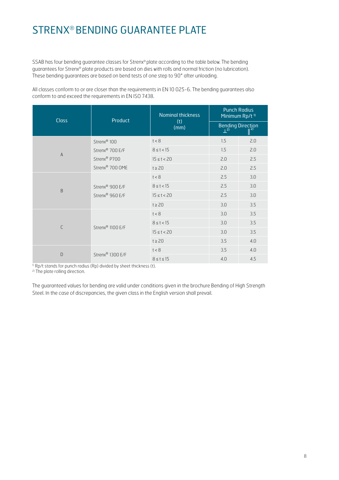### STRENX® BENDING GUARANTEE PLATE

SSAB has four bending guarantee classes for Strenx® plate according to the table below. The bending guarantees for Strenx® plate products are based on dies with rolls and normal friction (no lubrication). These bending guarantees are based on bend tests of one step to 90° after unloading.

All classes conform to or are closer than the requirements in EN 10 025-6. The bending guarantees also conform to and exceed the requirements in EN ISO 7438.

| <b>Class</b>   | Product                     | <b>Nominal thickness</b> | <b>Punch Radius</b><br>Minimum Rp/t <sup>1)</sup> |                          |
|----------------|-----------------------------|--------------------------|---------------------------------------------------|--------------------------|
|                |                             | (t)<br>(mm)              | $\perp^{2}$                                       | <b>Bending Direction</b> |
| $\overline{A}$ | Strenx <sup>®</sup> 100     | t < 8                    | 1.5                                               | 2.0                      |
|                | Strenx <sup>®</sup> 700 E/F | $8 \le t < 15$           | 1.5                                               | 2.0                      |
|                | Strenx <sup>®</sup> P700    | $15 \le t < 20$          | 2.0                                               | 2.5                      |
|                | Strenx® 700 OME             | $t \geq 20$              | 2.0                                               | 2.5                      |
| B              |                             | t < 8                    | 2.5                                               | 3.0                      |
|                | Strenx <sup>®</sup> 900 E/F | $8 \le t < 15$           | 2.5                                               | 3.0                      |
|                | Strenx <sup>®</sup> 960 E/F | $15 \le t < 20$          | 2.5                                               | 3.0                      |
|                |                             | $t \geq 20$              | 3.0                                               | 3.5                      |
| C              | Strenx® 1100 E/F            | t < 8                    | 3.0                                               | 3.5                      |
|                |                             | $8 \le t < 15$           | 3.0                                               | 3.5                      |
|                |                             | $15 \le t < 20$          | 3.0                                               | 3.5                      |
|                |                             | $t \geq 20$              | 3.5                                               | 4.0                      |
| D              | Strenx® 1300 E/F            | t < 8                    | 3.5                                               | 4.0                      |
|                |                             | $8 \leq t \leq 15$       | 4.0                                               | 4.5                      |

 $\frac{1}{1}$  Rp/t stands for punch radius (Rp) divided by sheet thickness (t).

2) The plate rolling direction.

The guaranteed values for bending are valid under conditions given in the brochure Bending of High Strength Steel. In the case of discrepancies, the given class in the English version shall prevail.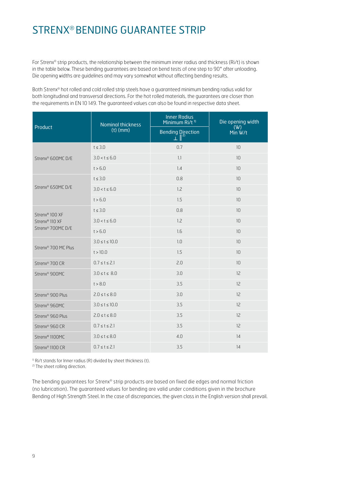### STRENX® BENDING GUARANTEE STRIP

For Strenx® strip products, the relationship between the minimum inner radius and thickness (Ri/t) is shown in the table below. These bending guarantees are based on bend tests of one step to 90° after unloading. Die opening widths are guidelines and may vary somewhat without affecting bending results.

Both Strenx® hot rolled and cold rolled strip steels have a guaranteed minimum bending radius valid for both longitudinal and transversal directions. For the hot rolled materials, the guarantees are closer than the requirements in EN 10 149. The guaranteed values can also be found in respective data sheet.

|                                                                                           | <b>Nominal thickness</b> | <b>Inner Radius</b><br>Minimum Ri/t <sup>1)</sup> | Die opening width<br>(W)<br>Min W/t |  |
|-------------------------------------------------------------------------------------------|--------------------------|---------------------------------------------------|-------------------------------------|--|
| Product                                                                                   | $(t)$ (mm)               | <b>Bending Direction</b><br>$\mathbf{L}$          |                                     |  |
| Strenx <sup>®</sup> 600MC D/E                                                             | $t \leq 3.0$             | 0.7                                               | 10                                  |  |
|                                                                                           | $3.0 < t \le 6.0$        | 1.1                                               | 10                                  |  |
|                                                                                           | t > 6.0                  | 1.4                                               | 10                                  |  |
| Strenx® 650MC D/E                                                                         | $t \leq 3.0$             | 0.8                                               | 10                                  |  |
|                                                                                           | $3.0 < t \le 6.0$        | 1.2                                               | 10                                  |  |
|                                                                                           | t > 6.0                  | 1.5                                               | 10                                  |  |
| Strenx <sup>®</sup> 100 XF<br>Strenx <sup>®</sup> 110 XF<br>Strenx <sup>®</sup> 700MC D/E | $t \leq 3.0$             | 0.8                                               | 10                                  |  |
|                                                                                           | $3.0 < t \le 6.0$        | 1.2                                               | 10                                  |  |
|                                                                                           | t > 6.0                  | 1.6                                               | 10                                  |  |
| Strenx <sup>®</sup> 700 MC Plus                                                           | $3.0 \le t \le 10.0$     | 1.0                                               | 10                                  |  |
|                                                                                           | t > 10.0                 | 1.5                                               | 10                                  |  |
| Strenx <sup>®</sup> 700 CR                                                                | $0.7 \le t \le 2.1$      | 2.0                                               | 10                                  |  |
| Strenx <sup>®</sup> 900MC                                                                 | $3.0 \le t \le 8.0$      | 3.0                                               | 12                                  |  |
|                                                                                           | t > 8.0                  | 3.5                                               | 12                                  |  |
| Strenx <sup>®</sup> 900 Plus                                                              | $2.0 \le t \le 8.0$      | 3.0                                               | 12                                  |  |
| Strenx <sup>®</sup> 960MC                                                                 | $3.0 \le t \le 10.0$     | 3.5                                               | 12                                  |  |
| Strenx <sup>®</sup> 960 Plus                                                              | $2.0 \le t \le 8.0$      | 3.5                                               | 12                                  |  |
| Strenx <sup>®</sup> 960 CR                                                                | $0.7 \le t \le 2.1$      | 3.5                                               | 12                                  |  |
| Strenx <sup>®</sup> 1100MC                                                                | $3.0 \le t \le 8.0$      | 4.0                                               | 14                                  |  |
| Strenx <sup>®</sup> 1100 CR                                                               | $0.7 \le t \le 2.1$      | 3.5                                               | 14                                  |  |

<sup>1)</sup> Ri/t stands for Inner radius (R) divided by sheet thickness (t).

2) The sheet rolling direction.

The bending guarantees for Strenx® strip products are based on fixed die edges and normal friction (no lubrication). The guaranteed values for bending are valid under conditions given in the brochure Bending of High Strength Steel. In the case of discrepancies, the given class in the English version shall prevail.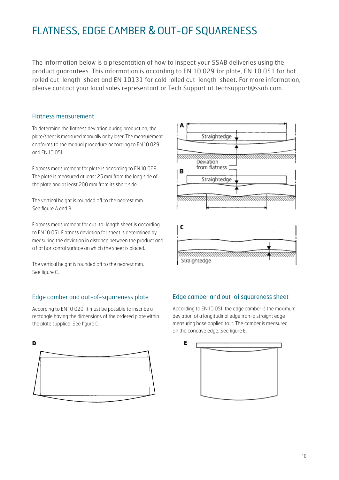### FLATNESS, EDGE CAMBER & OUT-OF SQUARENESS

The information below is a presentation of how to inspect your SSAB deliveries using the product guarantees. This information is according to EN 10 029 for plate, EN 10 051 for hot rolled cut-length-sheet and EN 10131 for cold rolled cut-length-sheet. For more information, please contact your local sales representant or Tech Support at techsupport@ssab.com.

#### Flatness measurement

To determine the flatness deviation during production, the plate/sheet is measured manually or by laser. The measurement conforms to the manual procedure according to EN 10 029 and EN 10 051.

Flatness measurement for plate is according to EN 10 029. The plate is measured at least 25 mm from the long side of the plate and at least 200 mm from its short side.

The vertical height is rounded off to the nearest mm. See figure A and B.

Flatness measurement for cut-to-length sheet is according to EN 10 051. Flatness deviation for sheet is determined by measuring the deviation in distance between the product and a flat horizontal surface on which the sheet is placed.

The vertical height is rounded off to the nearest mm. See figure C.

#### Edge camber and out-of-squareness plate

According to EN 10 029, it must be possible to inscribe a rectangle having the dimensions of the ordered plate within the plate supplied. See figure D.





#### Edge camber and out-of squareness sheet

According to EN 10 051, the edge camber is the maximum deviation of a longitudinal edge from a straight edge measuring base applied to it. The camber is measured on the concave edge. See figure E.

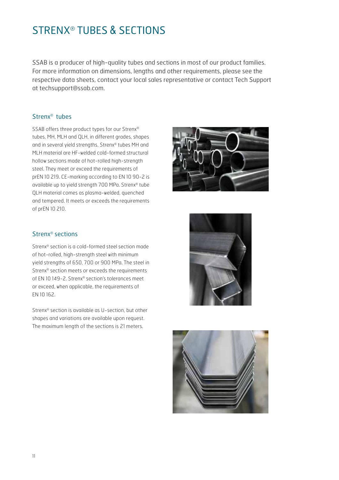### STRENX® TUBES & SECTIONS

SSAB is a producer of high-quality tubes and sections in most of our product families. For more information on dimensions, lengths and other requirements, please see the respective data sheets, contact your local sales representative or contact Tech Support at techsupport@ssab.com.

#### Strenx® tubes

SSAB offers three product types for our Strenx® tubes, MH, MLH and QLH, in different grades, shapes and in several yield strengths. Strenx® tubes MH and MLH material are HF-welded cold-formed structural hollow sections made of hot-rolled high-strength steel. They meet or exceed the requirements of prEN 10 219. CE-marking according to EN 10 90-2 is available up to yield strength 700 MPa. Strenx® tube QLH material comes as plasma-welded, quenched and tempered. It meets or exceeds the requirements of prEN 10 210.



#### Strenx® sections

Strenx® section is a cold-formed steel section made of hot-rolled, high-strength steel with minimum yield strengths of 650, 700 or 900 MPa. The steel in Strenx® section meets or exceeds the requirements of EN 10 149-2. Strenx® section's tolerances meet or exceed, when applicable, the requirements of EN 10 162.

Strenx® section is available as U-section, but other shapes and variations are available upon request. The maximum length of the sections is 21 meters.



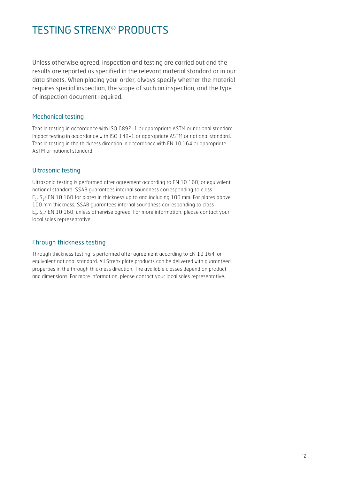### TESTING STRENX® PRODUCTS

Unless otherwise agreed, inspection and testing are carried out and the results are reported as specified in the relevant material standard or in our data sheets. When placing your order, always specify whether the material requires special inspection, the scope of such an inspection, and the type of inspection document required.

#### Mechanical testing

Tensile testing in accordance with ISO 6892-1 or appropriate ASTM or national standard. Impact testing in accordance with ISO 148-1 or appropriate ASTM or national standard. Tensile testing in the thickness direction in accordance with EN 10 164 or appropriate ASTM or national standard.

#### Ultrasonic testing

Ultrasonic testing is performed after agreement according to EN 10 160, or equivalent national standard. SSAB guarantees internal soundness corresponding to class E<sub>1</sub>, S<sub>1</sub>/ EN 10 160 for plates in thickness up to and including 100 mm. For plates above 100 mm thickness, SSAB guarantees internal soundness corresponding to class  $E_{0}$ ,  $S_{0}$ / EN 10 160, unless otherwise agreed. For more information, please contact your local sales representative.

#### Through thickness testing

Through thickness testing is performed after agreement according to EN 10 164, or equivalent national standard. All Strenx plate products can be delivered with guaranteed properties in the through thickness direction. The available classes depend on product and dimensions. For more information, please contact your local sales representative.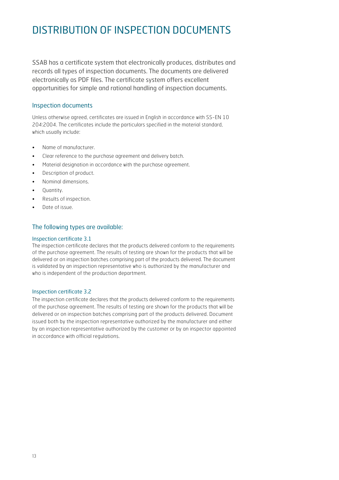### DISTRIBUTION OF INSPECTION DOCUMENTS

SSAB has a certificate system that electronically produces, distributes and records all types of inspection documents. The documents are delivered electronically as PDF files. The certificate system offers excellent opportunities for simple and rational handling of inspection documents.

#### Inspection documents

Unless otherwise agreed, certificates are issued in English in accordance with SS-EN 10 204:2004. The certificates include the particulars specified in the material standard, which usually include:

- Name of manufacturer.
- Clear reference to the purchase agreement and delivery batch.
- Material designation in accordance with the purchase agreement.
- Description of product.
- Nominal dimensions.
- Quantity.
- Results of inspection.
- Date of issue.

#### The following types are available:

#### Inspection certificate 3.1

The inspection certificate declares that the products delivered conform to the requirements of the purchase agreement. The results of testing are shown for the products that will be delivered or on inspection batches comprising part of the products delivered. The document is validated by an inspection representative who is authorized by the manufacturer and who is independent of the production department.

#### Inspection certificate 3.2

The inspection certificate declares that the products delivered conform to the requirements of the purchase agreement. The results of testing are shown for the products that will be delivered or on inspection batches comprising part of the products delivered. Document issued both by the inspection representative authorized by the manufacturer and either by an inspection representative authorized by the customer or by an inspector appointed in accordance with official regulations.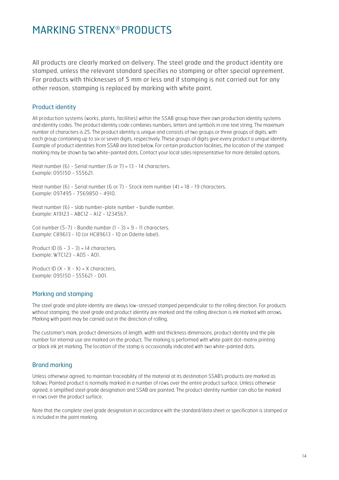### MARKING STRENX® PRODUCTS

All products are clearly marked on delivery. The steel grade and the product identity are stamped, unless the relevant standard specifies no stamping or after special agreement. For products with thicknesses of 5 mm or less and if stamping is not carried out for any other reason, stamping is replaced by marking with white paint.

#### Product identity

All production systems (works, plants, facilities) within the SSAB group have their own production identity systems and identity codes. The product identity code combines numbers, letters and symbols in one text string. The maximum number of characters is 25. The product identity is unique and consists of two groups or three groups of digits, with each group containing up to six or seven digits, respectively. These groups of digits give every product a unique identity. Example of product identities from SSAB are listed below. For certain production facilities, the location of the stamped marking may be shown by two white-painted dots. Contact your local sales representative for more detailed options.

Heat number (6) - Serial number (6 or 7) = 13 - 14 characters. Example: 095150 - 555621.

Heat number (6) - Serial number (6 or 7) - Stock item number (4) = 18 - 19 characters. Example: 097495 - 7569850 - 4910.

Heat number (6) - slab number-plate number - bundle number. Example: A19123 - ABC12 - A12 - 1234567.

Coil number  $(5-7)$  - Bundle number  $(1 - 3) = 9 - 11$  characters. Example: C89613 - 10 (or HC89613 - 10 on Odette label).

Product ID  $(6 - 3 - 3) = 14$  characters. Example: W7C123 - A05 - A01.

Product ID  $(X - X - X) = X$  characters. Example: 095150 - 555621 - 001.

#### Marking and stamping

The steel grade and plate identity are always low-stressed stamped perpendicular to the rolling direction. For products without stamping, the steel grade and product identity are marked and the rolling direction is ink marked with arrows. Marking with paint may be carried out in the direction of rolling.

The customer's mark, product dimensions of length, width and thickness dimensions, product identity and the pile number for internal use are marked on the product. The marking is performed with white paint dot-matrix printing or black ink jet marking. The location of the stamp is occasionally indicated with two white-painted dots.

#### Brand marking

Unless otherwise agreed, to maintain traceability of the material at its destination SSAB's products are marked as follows: Painted product is normally marked in a number of rows over the entire product surface. Unless otherwise agreed, a simplified steel grade designation and SSAB are painted. The product identity number can also be marked in rows over the product surface.

Note that the complete steel grade designation in accordance with the standard/data sheet or specification is stamped or is included in the paint marking.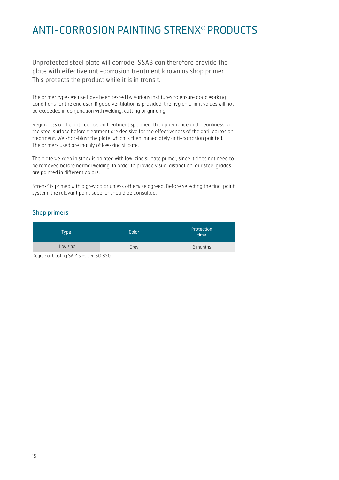### ANTI-CORROSION PAINTING STRENX® PRODUCTS

Unprotected steel plate will corrode. SSAB can therefore provide the plate with effective anti-corrosion treatment known as shop primer. This protects the product while it is in transit.

The primer types we use have been tested by various institutes to ensure good working conditions for the end user. If good ventilation is provided, the hygienic limit values will not be exceeded in conjunction with welding, cutting or grinding.

Regardless of the anti-corrosion treatment specified, the appearance and cleanliness of the steel surface before treatment are decisive for the effectiveness of the anti-corrosion treatment. We shot-blast the plate, which is then immediately anti-corrosion painted. The primers used are mainly of low-zinc silicate.

The plate we keep in stock is painted with low-zinc silicate primer, since it does not need to be removed before normal welding. In order to provide visual distinction, our steel grades are painted in different colors.

Strenx® is primed with a grey color unless otherwise agreed. Before selecting the final paint system, the relevant paint supplier should be consulted.

#### Shop primers

| <b>Type</b>                          | Color | Protection<br>time |
|--------------------------------------|-------|--------------------|
| Low zinc                             | Grey  | 6 months           |
| $\sim$<br>$\cdots$ $\cdots$ $\cdots$ |       |                    |

Degree of blasting SA 2.5 as per ISO 8501-1.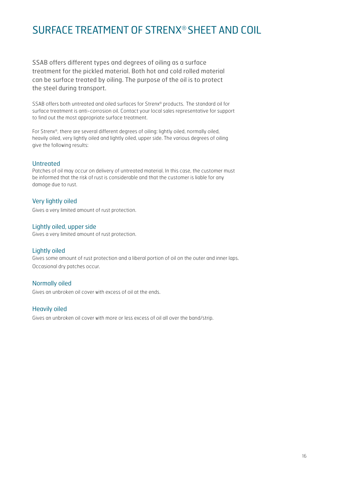### SURFACE TREATMENT OF STRENX® SHEET AND COIL

SSAB offers different types and degrees of oiling as a surface treatment for the pickled material. Both hot and cold rolled material can be surface treated by oiling. The purpose of the oil is to protect the steel during transport.

SSAB offers both untreated and oiled surfaces for Strenx® products. The standard oil for surface treatment is anti-corrosion oil. Contact your local sales representative for support to find out the most appropriate surface treatment.

For Strenx®, there are several different degrees of oiling: lightly oiled, normally oiled, heavily oiled, very lightly oiled and lightly oiled, upper side. The various degrees of oiling give the following results:

#### **Untreated**

Patches of oil may occur on delivery of untreated material. In this case, the customer must be informed that the risk of rust is considerable and that the customer is liable for any damage due to rust.

#### Very lightly oiled

Gives a very limited amount of rust protection.

#### Lightly oiled, upper side

Gives a very limited amount of rust protection.

#### Lightly oiled

Gives some amount of rust protection and a liberal portion of oil on the outer and inner laps. Occasional dry patches occur.

#### Normally oiled

Gives an unbroken oil cover with excess of oil at the ends.

#### Heavily oiled

Gives an unbroken oil cover with more or less excess of oil all over the band/strip.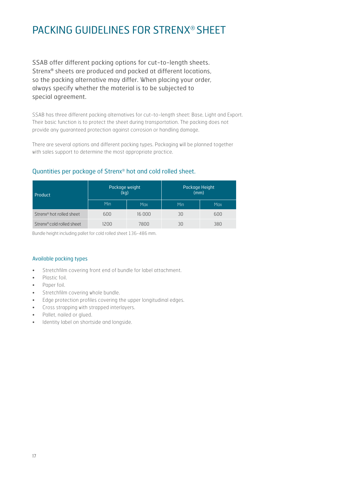### PACKING GUIDELINES FOR STRENX® SHEET

SSAB offer different packing options for cut-to-length sheets. Strenx® sheets are produced and packed at different locations, so the packing alternative may differ. When placing your order, always specify whether the material is to be subjected to special agreement.

SSAB has three different packing alternatives for cut-to-length sheet: Base, Light and Export. Their basic function is to protect the sheet during transportation. The packing does not provide any guaranteed protection against corrosion or handling damage.

There are several options and different packing types. Packaging will be planned together with sales support to determine the most appropriate practice.

#### Quantities per package of Strenx® hot and cold rolled sheet.

| Product                               | Package weight<br>(kq) |        | Package Height<br>(mm) |            |
|---------------------------------------|------------------------|--------|------------------------|------------|
|                                       | Min                    | Max    | Min                    | <b>Max</b> |
| Strenx <sup>®</sup> hot rolled sheet  | 600                    | 16 000 | 30                     | 600        |
| Strenx <sup>®</sup> cold rolled sheet | 1200                   | 7800   | 30                     | 380        |

Bundle height including pallet for cold rolled sheet 136-486 mm.

#### Available packing types

- Stretchfilm covering front end of bundle for label attachment.
- Plastic foil.
- Paper foil.
- Stretchfilm covering whole bundle.
- Edge protection profiles covering the upper longitudinal edges.
- Cross strapping with strapped interlayers.
- Pallet, nailed or glued.
- Identity label on shortside and longside.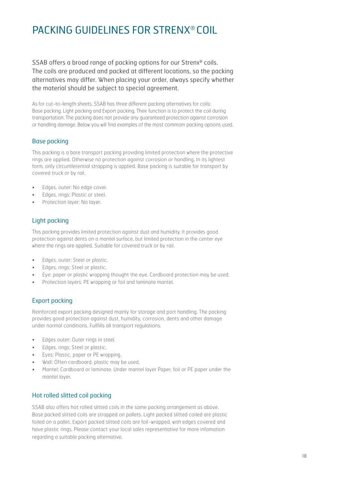### PACKING GUIDELINES FOR STRENX® COIL

SSAB offers a broad range of packing options for our Strenx® coils. The coils are produced and packed at different locations, so the packing alternatives may differ. When placing your order, always specify whether the material should be subject to special agreement.

As for cut-to-length sheets, SSAB has three different packing alternatives for coils: Base packing, Light packing and Export packing. Their function is to protect the coil during transportation. The packing does not provide any guaranteed protection against corrosion or handling damage. Below you will find examples of the most commom packing options used.

#### Base packing

This packing is a bare transport packing providing limited protection where the protective rings are applied. Otherwise no protection against corrosion or handling. In its lightest form, only circumferential strapping is applied. Base packing is suitable for transport by covered truck or by rail.

- Edges, outer: No edge cover.
- Edges, rings: Plastic or steel.
- Protection layer: No layer.

#### Light packing

This packing provides limited protection against dust and humidity. It provides good protection against dents on a mantel surface, but limited protection in the center eye where the rings are applied. Suitable for covered truck or by rail.

- Edges, outer: Steel or plastic.
- Edges, rings: Steel or plastic.
- Eye: paper or plastic wrapping thought the eye. Cardboard protection may be used.
- Protection layers: PE wrapping or foil and laminate mantel.

#### Export packing

Reinforced export packing designed mainly for storage and port handling. The packing provides good protection against dust, humidity, corrosion, dents and other damage under normal conditions. Fullfills all transport regulations.

- Edges outer: Outer rings in steel.
- Edges, rings: Steel or plastic.
- Eyes: Plastic, paper or PE wrapping.
- Wall: Often cardboard, plastic may be used.
- Mantel: Cardboard or laminate. Under mantel layer Paper, foil or PE paper under the mantel layer.

#### Hot rolled slitted coil packing

SSAB also offers hot rolled slitted coils in the same packing arrangement as above. Base packed slitted coils are strapped on pallets. Light packed slitted coiled are plastic foiled on a pallet. Export packed slitted coils are foil-wrapped, with edges covered and have plastic rings. Please contact your local sales representative for more infomation regarding a suitable packing alternative.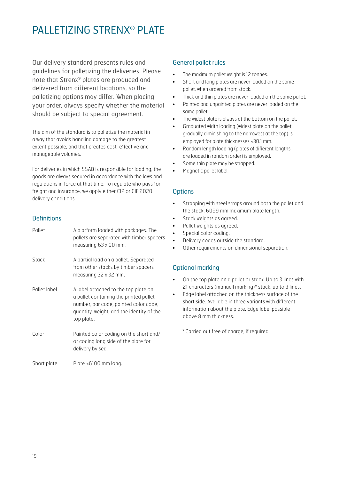### PALLETIZING STRENX® PLATE

Our delivery standard presents rules and guidelines for palletizing the deliveries. Please note that Strenx® plates are produced and delivered from different locations, so the palletizing options may differ. When placing your order, always specify whether the material should be subject to special agreement.

The aim of the standard is to palletize the material in a way that avoids handling damage to the greatest extent possible, and that creates cost-effective and manageable volumes.

For deliveries in which SSAB is responsible for loading, the goods are always secured in accordance with the laws and regulations in force at that time. To regulate who pays for freight and insurance, we apply either CIP or CIF 2020 delivery conditions.

#### **Definitions**

| Pallet       | A platform loaded with packages. The<br>pallets are separated with timber spacers<br>measuring 63 x 90 mm.                                                                         |
|--------------|------------------------------------------------------------------------------------------------------------------------------------------------------------------------------------|
| Stack        | A partial load on a pallet. Separated<br>from other stacks by timber spacers<br>measuring 32 x 32 mm.                                                                              |
| Pallet label | A label attached to the top plate on<br>a pallet containing the printed pallet<br>number, bar code, painted color code,<br>quantity, weight, and the identity of the<br>top plate. |
| Color        | Painted color coding on the short and/<br>or coding long side of the plate for<br>delivery by sea.                                                                                 |
| Short plate  | Plate <6100 mm long.                                                                                                                                                               |

#### General pallet rules

- The maximum pallet weight is 12 tonnes.
- Short and long plates are never loaded on the same pallet, when ordered from stock.
- Thick and thin plates are never loaded on the same pallet.
- Painted and unpainted plates are never loaded on the same pallet.
- The widest plate is always at the bottom on the pallet.
- Graduated width loading (widest plate on the pallet, gradually diminishing to the narrowest at the top) is employed for plate thicknesses <30.1 mm.
- Random length loading (plates of different lengths are loaded in random order) is employed.
- Some thin plate may be strapped.
- Magnetic pallet label.

#### **Options**

- Strapping with steel straps around both the pallet and the stack. 6099 mm maximum plate length.
- Stack weights as agreed.
- Pallet weights as agreed.
- Special color coding.
- Delivery codes outside the standard.
- Other requirements on dimensional separation.

#### Optional marking

- On the top plate on a pallet or stack. Up to 3 lines with 21 characters (manuell marking)\* stack, up to 3 lines.
- Edge label attached on the thickness surface of the short side. Available in three variants with different information about the plate. Edge label possible above 8 mm thickness.

\* Carried out free of charge, if required.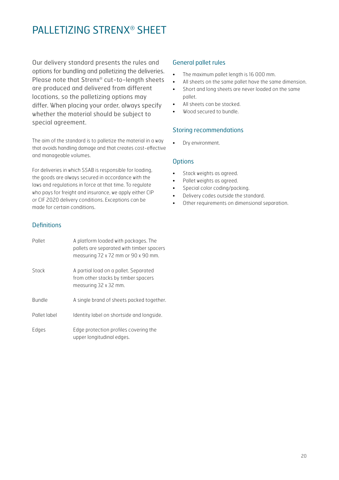### PALLETIZING STRENX® SHEET

Our delivery standard presents the rules and options for bundling and palletizing the deliveries. Please note that Strenx® cut-to-length sheets are produced and delivered from different locations, so the palletizing options may differ. When placing your order, always specify whether the material should be subject to special agreement.

The aim of the standard is to palletize the material in a way that avoids handling damage and that creates cost-effective and manageable volumes.

For deliveries in which SSAB is responsible for loading, the goods are always secured in accordance with the laws and regulations in force at that time. To regulate who pays for freight and insurance, we apply either CIP or CIF 2020 delivery conditions. Exceptions can be made for certain conditions.

#### **Definitions**

| Pallet       | A platform loaded with packages. The<br>pallets are separated with timber spacers<br>measuring 72 x 72 mm or 90 x 90 mm. |
|--------------|--------------------------------------------------------------------------------------------------------------------------|
| Stack        | A partial load on a pallet. Separated<br>from other stacks by timber spacers<br>measuring 32 x 32 mm.                    |
| Bundle       | A single brand of sheets packed together.                                                                                |
| Pallet label | Identity label on shortside and longside.                                                                                |
| Edges        | Edge protection profiles covering the<br>upper longitudinal edges.                                                       |

#### General pallet rules

- The maximum pallet length is 16 000 mm.
- All sheets on the same pallet have the same dimension.
- Short and long sheets are never loaded on the same pallet.
- All sheets can be stacked.
- Wood secured to bundle.

#### Storing recommendations

• Dry environment.

#### **Options**

- Stack weights as agreed.
- Pallet weights as agreed.
- Special color coding/packing.
- Delivery codes outside the standard.
- Other requirements on dimensional separation.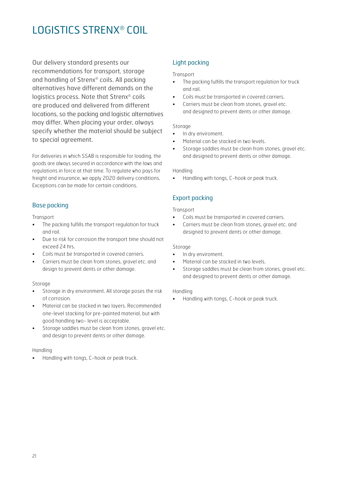### LOGISTICS STRENX® COIL

Our delivery standard presents our recommendations for transport, storage and handling of Strenx® coils. All packing alternatives have different demands on the logistics process. Note that Strenx® coils are produced and delivered from different locations, so the packing and logistic alternatives may differ. When placing your order, always specify whether the material should be subject to special agreement.

For deliveries in which SSAB is responsible for loading, the goods are always secured in accordance with the laws and regulations in force at that time. To regulate who pays for freight and insurance, we apply 2020 delivery conditions. Exceptions can be made for certain conditions.

#### Base packing

**Transport** 

- The packing fulfills the transport regulation for truck and rail.
- Due to risk for corrosion the transport time should not exceed 24 hrs.
- Coils must be transported in covered carriers.
- Carriers must be clean from stones, gravel etc. and design to prevent dents or other damage.

#### Storage

- Storage in dry environment. All storage poses the risk of corrosion.
- Material can be stacked in two layers. Recommended one-level stacking for pre-painted material, but with good handling two- level is acceptable.
- Storage saddles must be clean from stones, gravel etc. and design to prevent dents or other damage.

#### Handling

• Handling with tongs, C-hook or peak truck.

#### Light packing

#### Transport

- The packing fulfills the transport regulation for truck and rail.
- Coils must be transported in covered carriers.
- Carriers must be clean from stones, gravel etc. and designed to prevent dents or other damage.

#### Storage

- In dry enviroment.
- Material can be stacked in two levels.
- Storage saddles must be clean from stones, gravel etc. and designed to prevent dents or other damage.

#### Handling

• Handling with tongs, C-hook or peak truck.

#### Export packing

#### Transport

- Coils must be transported in covered carriers.
- Carriers must be clean from stones, gravel etc. and designed to prevent dents or other damage.

#### Storage

- In dry enviroment.
- Material can be stacked in two levels.
- Storage saddles must be clean from stones, gravel etc. and designed to prevent dents or other damage.

#### Handling

• Handling with tongs, C-hook or peak truck.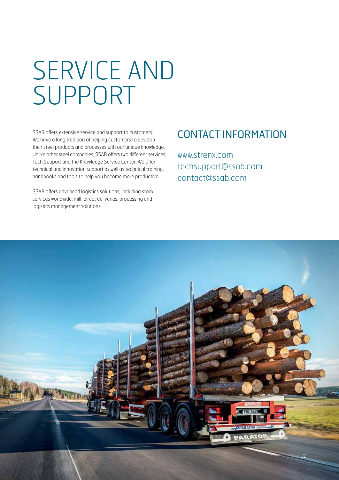## SERVICE AND SUPPORT

SSAB offers extensive service and support to customers. We have a long tradition of helping customers to develop their steel products and processes with our unique knowledge. Unlike other steel companies, SSAB offers two different services, Tech Support and the Knowledge Service Center. We offer technical and innovation support as well as technical training, handbooks and tools to help you become more productive.

SSAB offers advanced logistics solutions, including stock services worldwide, mill-direct deliveries, processing and logistics management solutions.

### CONTACT INFORMATION

www.strenx.com techsupport@ssab.com contact@ssab.com